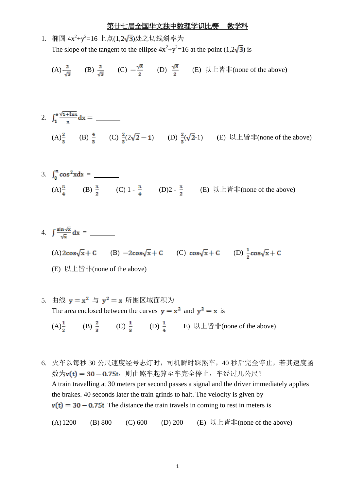1. 樮國 4x<sup>2</sup>+y<sup>2</sup>=16上点(1,2
$$
\sqrt{3}
$$
)位之切线<4x<sup>2</sup>+y<sup>2</sup>=16 at the point (1,2 $\sqrt{3}$ ) is  
The slope of the tangent to the ellipse 4x<sup>2</sup>+y<sup>2</sup>=16 at the point (1,2 $\sqrt{3}$ ) is

(A) 
$$
\frac{2}{\sqrt{3}}
$$
 (B)  $\frac{2}{\sqrt{3}}$  (C)  $-\frac{\sqrt{3}}{2}$  (D)  $\frac{\sqrt{3}}{2}$  (E)  $\bigcup \pm \frac{\sqrt{3}}{2}$  [none of the above]

2. 
$$
\int_{1}^{e} \frac{\sqrt{1 + \ln x}}{x} dx =
$$
  
\n(A)  $\frac{2}{3}$  (B)  $\frac{4}{3}$  (C)  $\frac{2}{3}(2\sqrt{2} - 1)$  (D)  $\frac{2}{3}(\sqrt{2} - 1)$  (E)  $\sqrt{1 + \ln x}$  (none of the above)

3. 
$$
\int_0^{\pi} \cos^2 x dx =
$$
 \_\_\_\_\_\_  
\n(A)  $\frac{\pi}{4}$  (B)  $\frac{\pi}{2}$  (C)  $1 - \frac{\pi}{4}$  (D)2 -  $\frac{\pi}{2}$  (E)  $\sqrt{2} \pm \frac{\pi}{4}$  (E)

4. 
$$
\int \frac{\sin \sqrt{x}}{\sqrt{x}} dx =
$$
  
\n(A)  $2\cos\sqrt{x} + C$  (B)  $-2\cos\sqrt{x} + C$  (C)  $\cos\sqrt{x} + C$  (D)  $\frac{1}{2}\cos\sqrt{x} + C$ 

(E) 以上皆非(none of the above)

5. 
$$
\# \& y = x^2 \Rightarrow y^2 = x \quad \# \boxtimes \text{ with } \forall x \in \mathbb{R} \text{ and } y^2 = x \text{ is}
$$
\n\nThe area enclosed between the curves  $y = x^2$  and  $y^2 = x$  is\n\n(A)  $\frac{1}{2}$ \n(B)  $\frac{2}{3}$ \n(C)  $\frac{1}{3}$ \n(D)  $\frac{1}{4}$ \n(E)  $\bigcup \text{L} \oplus \text{L} \oplus \text{L}$  (none of the above)

6. 火车以每秒 30 公尺速度经号志灯时,司机瞬时踩煞车,40 秒后完全停止,若其速度函 数为v(t) = 30-0.75t, 则由煞车起算至车完全停止, 车经过几公尺? A train travelling at 30 meters per second passes a signal and the driver immediately applies the brakes. 40 seconds later the train grinds to halt. The velocity is given by  $v(t) = 30 - 0.75t$ . The distance the train travels in coming to rest in meters is

(A) 1200 (B) 800 (C) 600 (D) 200 (E) 
$$
\downarrow \downarrow \downarrow
$$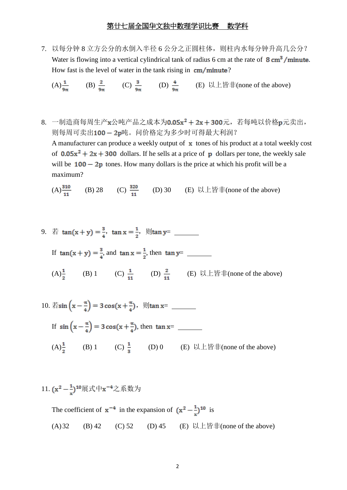7. 以每分钟 8 立方公分的水倒入半径 6 公分之正圆柱体,则柱内水每分钟升高几公分? Water is flowing into a vertical cylindrical tank of radius 6 cm at the rate of  $8 \text{ cm}^3/\text{minute}$ . How fast is the level of water in the tank rising in  $cm/minute$ ?

(A) 
$$
\frac{1}{9\pi}
$$
 (B)  $\frac{2}{9\pi}$  (C)  $\frac{3}{9\pi}$  (D)  $\frac{4}{9\pi}$  (E)  $\bigcup \text{L}$  if  $\pm$ (none of the above)

8. 一制造商每周生产x公吨产品之成本为0.05x<sup>2</sup> + 2x + 300元, 若每吨以价格 p元卖出, 则每周可卖出100-2p吨。问价格定为多少时可得最大利润? A manufacturer can produce a weekly output of  $\boldsymbol{\mathbf{x}}$  tones of his product at a total weekly cost of  $0.05x^2 + 2x + 300$  dollars. If he sells at a price of p dollars per tone, the weekly sale will be  $100 - 2p$  tones. How many dollars is the price at which his profit will be a maximum?

(A)  $\frac{310}{11}$  (B) 28 (C)  $\frac{320}{11}$  (D) 30 (E) 以上皆非(none of the above)

9. 若  $\tan(x + y) = \frac{3}{4}$ ,  $\tan x = \frac{1}{2}$ ,  $\sin x = \frac{1}{2}$ If  $tan(x + y) = \frac{3}{4}$ , and  $tan x = \frac{1}{2}$ , then  $tan y =$ (A)<sup> $\frac{1}{2}$ </sup> (B) 1 (C)  $\frac{1}{11}$  (D)  $\frac{2}{11}$  (E) 以上皆非(none of the above)

10. 
$$
\text{Fsin} \left( x - \frac{\pi}{4} \right) = 3 \cos(x + \frac{\pi}{4}), \text{ (1)} \tan x =
$$
  
\nIf  $\sin \left( x - \frac{\pi}{4} \right) = 3 \cos(x + \frac{\pi}{4}), \text{ then } \tan x =$   
\n(A) $\frac{1}{2}$  (B) 1 (C)  $\frac{1}{3}$  (D) 0 (E) 10E $\text{Fsin} \left( x - \frac{1}{4} \right)$  (D) 0

11. 
$$
(x^2 - \frac{1}{x})^{10}
$$
展式中 $x^{-4}$ 之系数为

The coefficient of  $x^{-4}$  in the expansion of  $(x^2 - \frac{1}{x})^{10}$  is (A) 32 (B) 42 (C) 52 (D) 45 (E) 以上皆非(none of the above)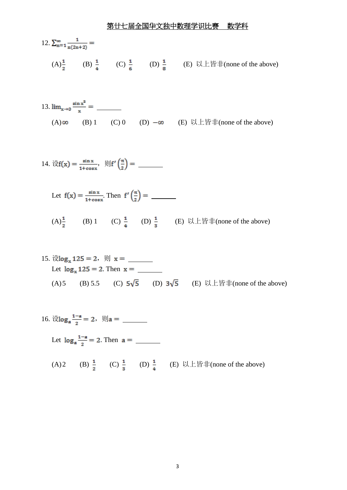

13. 
$$
\lim_{x\to 0} \frac{\sin x^2}{x} =
$$
 \_\_\_\_\_\_  
\n(A)  $\infty$  (B) 1 (C) 0 (D)  $-\infty$  (E)  $\forall x \perp \forall \exists \exists (none \text{ of the above})$ 

14. 
$$
\mathcal{L}f(x) = \frac{\sin x}{1 + \cos x}, \quad \mathcal{L}f'\left(\frac{\pi}{2}\right) =
$$

Let 
$$
f(x) = \frac{\sin x}{1 + \cos x}
$$
. Then  $f'(\frac{\pi}{2}) =$  \_\_\_\_\_\_\_

(A) $\frac{1}{2}$  (B) 1 (C)  $\frac{1}{4}$  (D)  $\frac{1}{3}$  (E) 以上皆非(none of the above)

15. 
$$
\sqrt[3]{\log_x 125} = 2
$$
,  $\sqrt[3]{x} =$  \_\_\_\_\_\_  
Let  $\log_x 125 = 2$ . Then  $x =$  \_\_\_\_\_\_  
(A)5 (B) 5.5 (C)  $5\sqrt{5}$  (D)  $3\sqrt{5}$  (E)  $\sqrt[3]{\log x} = \sqrt[3]{\log x} = 2$ .

16. 
$$
\forall \log_a \frac{1-a}{2} = 2
$$
,  $\mathbb{R} =$  \_\_\_\_\_\_\_

Let . Then

(A)2 (B)  $\frac{1}{2}$  (C)  $\frac{1}{3}$  (D)  $\frac{1}{4}$  (E)  $\forall$   $\pm$  lef  $\exists$  f(none of the above)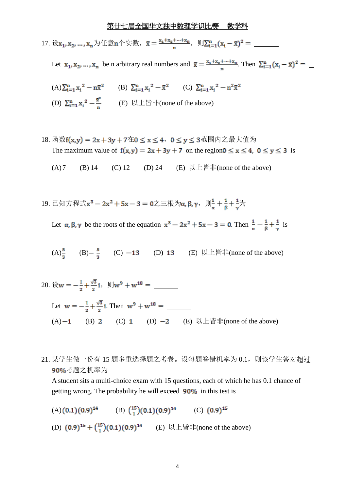17. 设 为任意 个实数, ,则

Let  $x_1, x_2, ..., x_n$  be n arbitrary real numbers and  $\bar{x} = \frac{x_1 + x_2 + ... + x_n}{n}$ . Then  $\sum_{i=1}^n (x_i - \bar{x})^2 =$ 

- (A)  $\sum_{i=1}^{n} x_i^2 n\overline{x}^2$  (B)  $\sum_{i=1}^{n} x_i^2 \overline{x}^2$  (C)  $\sum_{i=1}^{n} x_i^2 n^2\overline{x}^2$ (D)  $\sum_{i=1}^{n} x_i^2 - \frac{\bar{x}^2}{n}$  (E)  $\Box \bot \land \bot \land \bot$  (none of the above)
- 18. 函数 $f(x,y) = 2x + 3y + 7$ 在 $0 \le x \le 4$ ,  $0 \le y \le 3$ 范围内之最大值为 The maximum value of  $f(x,y) = 2x + 3y + 7$  on the region  $0 \le x \le 4$ ,  $0 \le y \le 3$  is
	- (A)7 (B) 14 (C) 12 (D) 24 (E) 以上皆非(none of the above)
- 19. 已知方程式 $x^3 2x^2 + 5x 3 = 0$ 之三根为α, β, γ, 则 $\frac{1}{a} + \frac{1}{a} + \frac{1}{y}$ 为

Let  $\alpha$ ,  $\beta$ ,  $\gamma$  be the roots of the equation  $x^3 - 2x^2 + 5x - 3 = 0$ . Then  $\frac{1}{\alpha} + \frac{1}{\beta} + \frac{1}{\gamma}$  is

- (A)  $\frac{5}{5}$  (B)  $\frac{5}{5}$  (C)  $-13$  (D) 13 (E) 以上皆非(none of the above)
- 20. 设 ,则 Let  $w = -\frac{1}{2} + \frac{\sqrt{3}}{2}i$ . Then  $w^9 + w^{18} =$ (A)  $-1$  (B) 2 (C) 1 (D)  $-2$  (E) 以上皆非(none of the above)
- 21. 某学生做一份有 15 题多重选择题之考卷。设每题答错机率为 0.1,则该学生答对超过 90%考题之机率为

A student sits a multi-choice exam with 15 questions, each of which he has 0.1 chance of getting wrong. The probability he will exceed 90% in this test is

 $(A) (0.1) (0.9)^{14}$  (B)  $\binom{15}{1} (0.1) (0.9)^{14}$  (C)  $(0.9)^{15}$ (D)  $(0.9)^{15} + {15 \choose 1} (0.1) (0.9)^{14}$  (E) 以上皆非(none of the above)